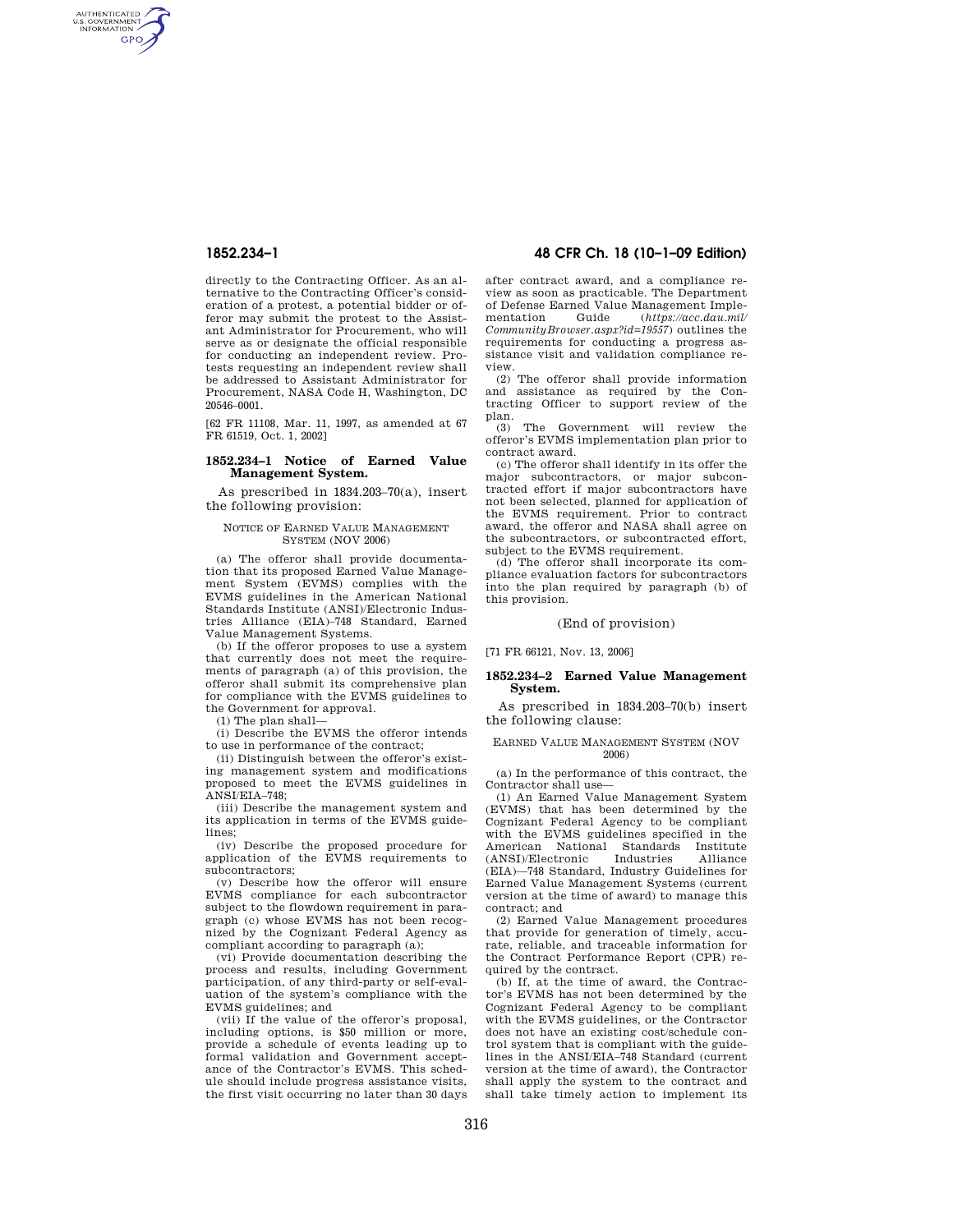AUTHENTICATED<br>U.S. GOVERNMENT<br>INFORMATION **GPO** 

> directly to the Contracting Officer. As an alternative to the Contracting Officer's consideration of a protest, a potential bidder or offeror may submit the protest to the Assistant Administrator for Procurement, who will serve as or designate the official responsible for conducting an independent review. Protests requesting an independent review shall be addressed to Assistant Administrator for Procurement, NASA Code H, Washington, DC 20546–0001.

[62 FR 11108, Mar. 11, 1997, as amended at 67 FR 61519, Oct. 1, 2002]

## **1852.234–1 Notice of Earned Value Management System.**

As prescribed in 1834.203–70(a), insert the following provision:

## NOTICE OF EARNED VALUE MANAGEMENT SYSTEM (NOV 2006)

(a) The offeror shall provide documentation that its proposed Earned Value Management System (EVMS) complies with the EVMS guidelines in the American National Standards Institute (ANSI)/Electronic Industries Alliance (EIA)–748 Standard, Earned Value Management Systems.

(b) If the offeror proposes to use a system that currently does not meet the requirements of paragraph (a) of this provision, the offeror shall submit its comprehensive plan for compliance with the EVMS guidelines to the Government for approval.

(1) The plan shall—

(i) Describe the EVMS the offeror intends to use in performance of the contract;

(ii) Distinguish between the offeror's existing management system and modifications proposed to meet the EVMS guidelines in ANSI/EIA–748;

(iii) Describe the management system and its application in terms of the EVMS guidelines;

(iv) Describe the proposed procedure for application of the EVMS requirements to subcontractors;

(v) Describe how the offeror will ensure EVMS compliance for each subcontractor subject to the flowdown requirement in paragraph (c) whose EVMS has not been recognized by the Cognizant Federal Agency as compliant according to paragraph (a);

(vi) Provide documentation describing the process and results, including Government participation, of any third-party or self-evaluation of the system's compliance with the EVMS guidelines; and

(vii) If the value of the offeror's proposal, including options, is \$50 million or more, provide a schedule of events leading up to formal validation and Government acceptance of the Contractor's EVMS. This schedule should include progress assistance visits, the first visit occurring no later than 30 days

# **1852.234–1 48 CFR Ch. 18 (10–1–09 Edition)**

after contract award, and a compliance review as soon as practicable. The Department of Defense Earned Value Management Implementation Guide (*https://acc.dau.mil/ CommunityBrowser.aspx?id=19557*) outlines the requirements for conducting a progress assistance visit and validation compliance review.

(2) The offeror shall provide information and assistance as required by the Contracting Officer to support review of the plan.

(3) The Government will review the offeror's EVMS implementation plan prior to contract award.

(c) The offeror shall identify in its offer the major subcontractors, or major subcontracted effort if major subcontractors have not been selected, planned for application of the EVMS requirement. Prior to contract award, the offeror and NASA shall agree on the subcontractors, or subcontracted effort, subject to the EVMS requirement.

(d) The offeror shall incorporate its compliance evaluation factors for subcontractors into the plan required by paragraph (b) of this provision.

## (End of provision)

[71 FR 66121, Nov. 13, 2006]

### **1852.234–2 Earned Value Management System.**

As prescribed in 1834.203–70(b) insert the following clause:

### EARNED VALUE MANAGEMENT SYSTEM (NOV 2006)

(a) In the performance of this contract, the Contractor shall use—

(1) An Earned Value Management System (EVMS) that has been determined by the Cognizant Federal Agency to be compliant with the EVMS guidelines specified in the American National Standards<br>(ANSI)/Electronic Industries (ANSI)/Electronic Industries Alliance (EIA)—748 Standard, Industry Guidelines for Earned Value Management Systems (current version at the time of award) to manage this contract; and

(2) Earned Value Management procedures that provide for generation of timely, accurate, reliable, and traceable information for the Contract Performance Report (CPR) required by the contract.

(b) If, at the time of award, the Contractor's EVMS has not been determined by the Cognizant Federal Agency to be compliant with the EVMS guidelines, or the Contractor does not have an existing cost/schedule control system that is compliant with the guidelines in the ANSI/EIA–748 Standard (current version at the time of award), the Contractor shall apply the system to the contract and shall take timely action to implement its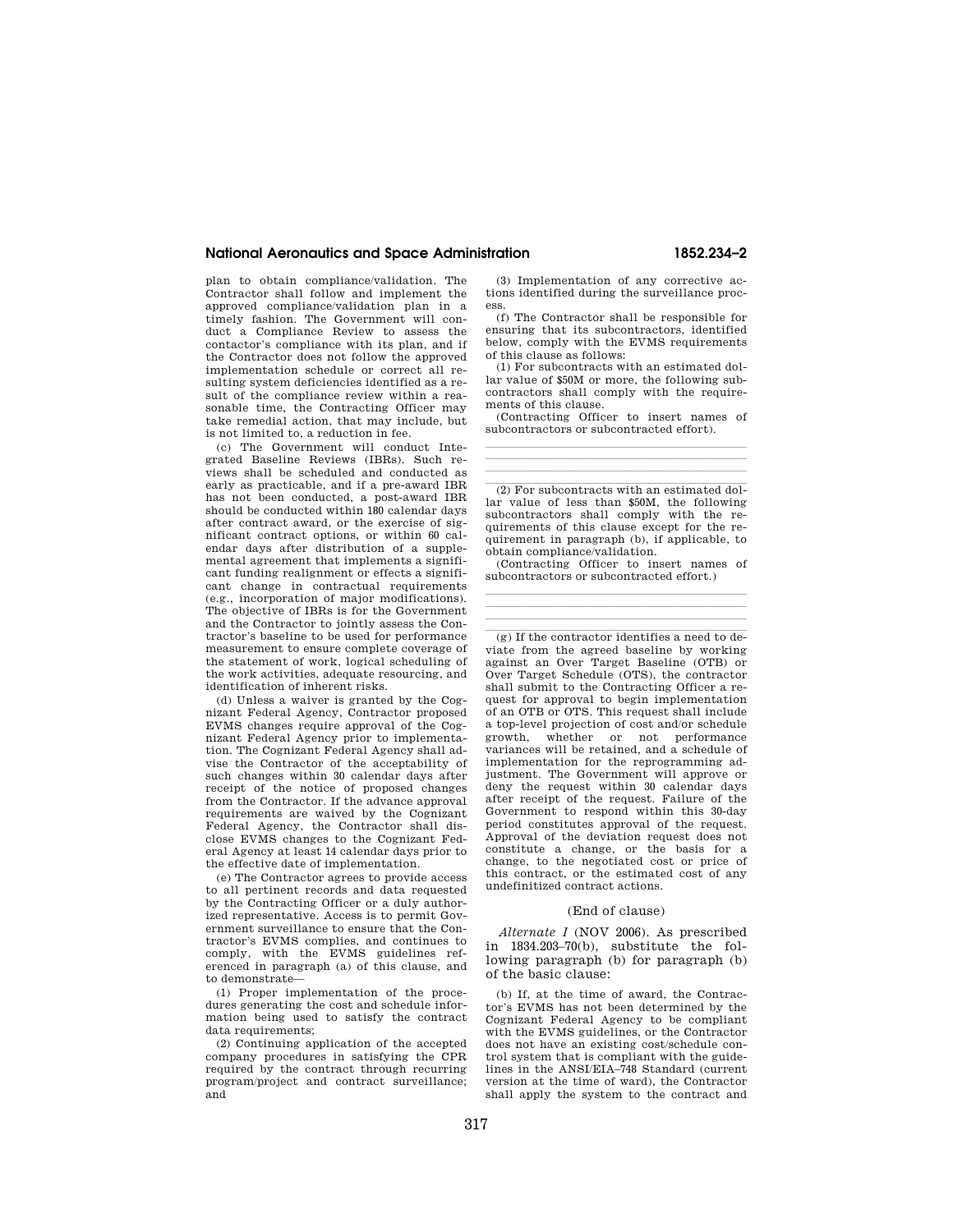## **National Aeronautics and Space Administration 1852.234–2**

plan to obtain compliance/validation. The Contractor shall follow and implement the approved compliance/validation plan in a timely fashion. The Government will conduct a Compliance Review to assess the contactor's compliance with its plan, and if the Contractor does not follow the approved implementation schedule or correct all resulting system deficiencies identified as a result of the compliance review within a reasonable time, the Contracting Officer may take remedial action, that may include, but is not limited to, a reduction in fee.

(c) The Government will conduct Integrated Baseline Reviews (IBRs). Such reviews shall be scheduled and conducted as early as practicable, and if a pre-award IBR has not been conducted, a post-award IBR should be conducted within 180 calendar days after contract award, or the exercise of significant contract options, or within 60 calendar days after distribution of a supplemental agreement that implements a significant funding realignment or effects a significant change in contractual requirements (e.g., incorporation of major modifications). The objective of IBRs is for the Government and the Contractor to jointly assess the Contractor's baseline to be used for performance measurement to ensure complete coverage of the statement of work, logical scheduling of the work activities, adequate resourcing, and identification of inherent risks.

(d) Unless a waiver is granted by the Cognizant Federal Agency, Contractor proposed EVMS changes require approval of the Cognizant Federal Agency prior to implementation. The Cognizant Federal Agency shall advise the Contractor of the acceptability of such changes within 30 calendar days after receipt of the notice of proposed changes from the Contractor. If the advance approval requirements are waived by the Cognizant Federal Agency, the Contractor shall disclose EVMS changes to the Cognizant Federal Agency at least 14 calendar days prior to the effective date of implementation.

(e) The Contractor agrees to provide access to all pertinent records and data requested by the Contracting Officer or a duly authorized representative. Access is to permit Government surveillance to ensure that the Contractor's EVMS complies, and continues to comply, with the EVMS guidelines referenced in paragraph (a) of this clause, and to demonstrate—

(1) Proper implementation of the procedures generating the cost and schedule information being used to satisfy the contract data requirements;

(2) Continuing application of the accepted company procedures in satisfying the CPR required by the contract through recurring program/project and contract surveillance; and

(3) Implementation of any corrective actions identified during the surveillance process.

(f) The Contractor shall be responsible for ensuring that its subcontractors, identified below, comply with the EVMS requirements of this clause as follows:

(1) For subcontracts with an estimated dollar value of \$50M or more, the following subcontractors shall comply with the requirements of this clause.

(Contracting Officer to insert names of subcontractors or subcontracted effort). llland i senator and a senator and a senator and a senator and a senator and a senator and

llland av den stadsmannsna og stadsmannsna og stadsmannsna og stadsmannsna og stadsmannsna og stadsmannsna og llland av den stadsmannsna og stadsmannsna og stadsmannsna og stadsmannsna og stadsmannsna og stadsmannsna og

 $\left( 2\right)$  For subcontracts with an estimated dollar value of less than \$50M, the following subcontractors shall comply with the requirements of this clause except for the requirement in paragraph (b), if applicable, to obtain compliance/validation.

(Contracting Officer to insert names of subcontractors or subcontracted effort.) llland av den stadsmannsna og stadsmannsna og stadsmannsna og stadsmannsna og stadsmannsna og stadsmannsna og

llland av den stadsmannsna og stadsmannsna og stadsmannsna og stadsmannsna og stadsmannsna og stadsmannsna og llland av den stadsmannsna og stadsmannsna og stadsmannsna og stadsmannsna og stadsmannsna og stadsmannsna og

 $(g)$  If the contractor identifies a need to deviate from the agreed baseline by working against an Over Target Baseline (OTB) or Over Target Schedule (OTS), the contractor shall submit to the Contracting Officer a request for approval to begin implementation of an OTB or OTS. This request shall include a top-level projection of cost and/or schedule growth, whether or not performance variances will be retained, and a schedule of implementation for the reprogramming adjustment. The Government will approve or deny the request within 30 calendar days after receipt of the request. Failure of the Government to respond within this 30-day period constitutes approval of the request. Approval of the deviation request does not constitute a change, or the basis for a change, to the negotiated cost or price of this contract, or the estimated cost of any undefinitized contract actions.

### (End of clause)

*Alternate I* (NOV 2006). As prescribed in 1834.203–70(b), substitute the following paragraph (b) for paragraph (b) of the basic clause:

(b) If, at the time of award, the Contractor's EVMS has not been determined by the Cognizant Federal Agency to be compliant with the EVMS guidelines, or the Contractor does not have an existing cost/schedule control system that is compliant with the guidelines in the ANSI/EIA–748 Standard (current version at the time of ward), the Contractor shall apply the system to the contract and